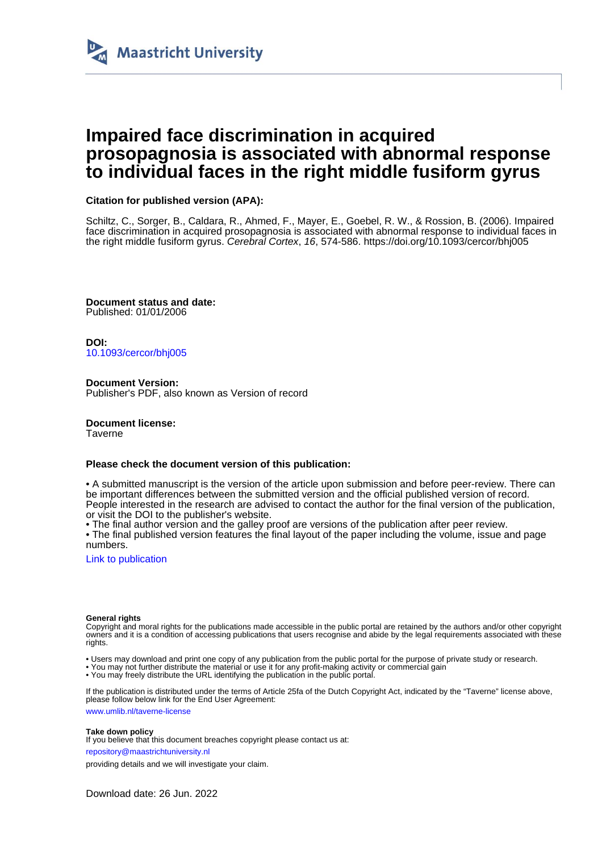

# **Impaired face discrimination in acquired prosopagnosia is associated with abnormal response to individual faces in the right middle fusiform gyrus**

# **Citation for published version (APA):**

Schiltz, C., Sorger, B., Caldara, R., Ahmed, F., Mayer, E., Goebel, R. W., & Rossion, B. (2006). Impaired face discrimination in acquired prosopagnosia is associated with abnormal response to individual faces in the right middle fusiform gyrus. Cerebral Cortex, 16, 574-586. <https://doi.org/10.1093/cercor/bhj005>

**Document status and date:** Published: 01/01/2006

**DOI:** [10.1093/cercor/bhj005](https://doi.org/10.1093/cercor/bhj005)

**Document Version:** Publisher's PDF, also known as Version of record

**Document license:** Taverne

## **Please check the document version of this publication:**

• A submitted manuscript is the version of the article upon submission and before peer-review. There can be important differences between the submitted version and the official published version of record. People interested in the research are advised to contact the author for the final version of the publication, or visit the DOI to the publisher's website.

• The final author version and the galley proof are versions of the publication after peer review.

• The final published version features the final layout of the paper including the volume, issue and page numbers.

[Link to publication](https://cris.maastrichtuniversity.nl/en/publications/391a5832-b183-4870-96c5-56e5975e6a10)

## **General rights**

Copyright and moral rights for the publications made accessible in the public portal are retained by the authors and/or other copyright owners and it is a condition of accessing publications that users recognise and abide by the legal requirements associated with these rights.

• Users may download and print one copy of any publication from the public portal for the purpose of private study or research.

• You may not further distribute the material or use it for any profit-making activity or commercial gain

• You may freely distribute the URL identifying the publication in the public portal

If the publication is distributed under the terms of Article 25fa of the Dutch Copyright Act, indicated by the "Taverne" license above, please follow below link for the End User Agreement:

www.umlib.nl/taverne-license

## **Take down policy**

If you believe that this document breaches copyright please contact us at:

repository@maastrichtuniversity.nl

providing details and we will investigate your claim.

Download date: 26 Jun. 2022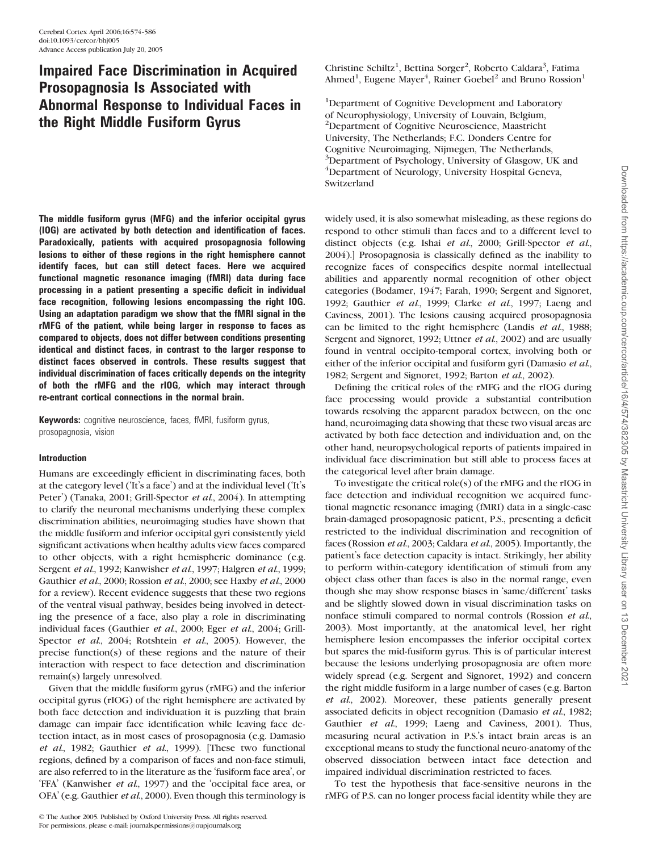# Impaired Face Discrimination in Acquired Prosopagnosia Is Associated with Abnormal Response to Individual Faces in the Right Middle Fusiform Gyrus

The middle fusiform gyrus (MFG) and the inferior occipital gyrus (IOG) are activated by both detection and identification of faces. Paradoxically, patients with acquired prosopagnosia following lesions to either of these regions in the right hemisphere cannot identify faces, but can still detect faces. Here we acquired functional magnetic resonance imaging (fMRI) data during face processing in a patient presenting a specific deficit in individual face recognition, following lesions encompassing the right IOG. Using an adaptation paradigm we show that the fMRI signal in the rMFG of the patient, while being larger in response to faces as compared to objects, does not differ between conditions presenting identical and distinct faces, in contrast to the larger response to distinct faces observed in controls. These results suggest that individual discrimination of faces critically depends on the integrity of both the rMFG and the rIOG, which may interact through re-entrant cortical connections in the normal brain.

Keywords: cognitive neuroscience, faces, fMRI, fusiform gyrus, prosopagnosia, vision

## Introduction

Humans are exceedingly efficient in discriminating faces, both at the category level ('It's a face') and at the individual level ('It's Peter') (Tanaka, 2001; Grill-Spector et al., 2004). In attempting to clarify the neuronal mechanisms underlying these complex discrimination abilities, neuroimaging studies have shown that the middle fusiform and inferior occipital gyri consistently yield significant activations when healthy adults view faces compared to other objects, with a right hemispheric dominance (e.g. Sergent et al., 1992; Kanwisher et al., 1997; Halgren et al., 1999; Gauthier et al., 2000; Rossion et al., 2000; see Haxby et al., 2000 for a review). Recent evidence suggests that these two regions of the ventral visual pathway, besides being involved in detecting the presence of a face, also play a role in discriminating individual faces (Gauthier et al., 2000; Eger et al., 2004; Grill-Spector et al., 2004; Rotshtein et al., 2005). However, the precise function(s) of these regions and the nature of their interaction with respect to face detection and discrimination remain(s) largely unresolved.

Given that the middle fusiform gyrus (rMFG) and the inferior occipital gyrus (rIOG) of the right hemisphere are activated by both face detection and individuation it is puzzling that brain damage can impair face identification while leaving face detection intact, as in most cases of prosopagnosia (e.g. Damasio et al., 1982; Gauthier et al., 1999). [These two functional regions, defined by a comparison of faces and non-face stimuli, are also referred to in the literature as the 'fusiform face area', or 'FFA' (Kanwisher et al., 1997) and the 'occipital face area, or OFA' (e.g. Gauthier et al., 2000). Even though this terminology is Christine Schiltz<sup>1</sup>, Bettina Sorger<sup>2</sup>, Roberto Caldara<sup>3</sup>, Fatima Ahmed<sup>1</sup>, Eugene Mayer<sup>4</sup>, Rainer Goebel<sup>2</sup> and Bruno Rossion<sup>1</sup>

<sup>1</sup>Department of Cognitive Development and Laboratory of Neurophysiology, University of Louvain, Belgium, 2 Department of Cognitive Neuroscience, Maastricht University, The Netherlands; F.C. Donders Centre for Cognitive Neuroimaging, Nijmegen, The Netherlands, <sup>3</sup>Department of Psychology, University of Glasgow, UK and <sup>4</sup>Department of Neurology, University Hospital Geneva, Switzerland

widely used, it is also somewhat misleading, as these regions do respond to other stimuli than faces and to a different level to distinct objects (e.g. Ishai et al., 2000; Grill-Spector et al., 2004).] Prosopagnosia is classically defined as the inability to recognize faces of conspecifics despite normal intellectual abilities and apparently normal recognition of other object categories (Bodamer, 1947; Farah, 1990; Sergent and Signoret, 1992; Gauthier et al., 1999; Clarke et al., 1997; Laeng and Caviness, 2001). The lesions causing acquired prosopagnosia can be limited to the right hemisphere (Landis et al., 1988; Sergent and Signoret, 1992; Uttner et al., 2002) and are usually found in ventral occipito-temporal cortex, involving both or either of the inferior occipital and fusiform gyri (Damasio et al., 1982; Sergent and Signoret, 1992; Barton et al., 2002).

Defining the critical roles of the rMFG and the rIOG during face processing would provide a substantial contribution towards resolving the apparent paradox between, on the one hand, neuroimaging data showing that these two visual areas are activated by both face detection and individuation and, on the other hand, neuropsychological reports of patients impaired in individual face discrimination but still able to process faces at the categorical level after brain damage.

To investigate the critical role(s) of the rMFG and the rIOG in face detection and individual recognition we acquired functional magnetic resonance imaging (fMRI) data in a single-case brain-damaged prosopagnosic patient, P.S., presenting a deficit restricted to the individual discrimination and recognition of faces (Rossion et al., 2003; Caldara et al., 2005). Importantly, the patient's face detection capacity is intact. Strikingly, her ability to perform within-category identification of stimuli from any object class other than faces is also in the normal range, even though she may show response biases in 'same/different' tasks and be slightly slowed down in visual discrimination tasks on nonface stimuli compared to normal controls (Rossion et al., 2003). Most importantly, at the anatomical level, her right hemisphere lesion encompasses the inferior occipital cortex but spares the mid-fusiform gyrus. This is of particular interest because the lesions underlying prosopagnosia are often more widely spread (e.g. Sergent and Signoret, 1992) and concern the right middle fusiform in a large number of cases (e.g. Barton et al., 2002). Moreover, these patients generally present associated deficits in object recognition (Damasio et al., 1982; Gauthier et al., 1999; Laeng and Caviness, 2001). Thus, measuring neural activation in P.S.'s intact brain areas is an exceptional means to study the functional neuro-anatomy of the observed dissociation between intact face detection and impaired individual discrimination restricted to faces.

To test the hypothesis that face-sensitive neurons in the rMFG of P.S. can no longer process facial identity while they are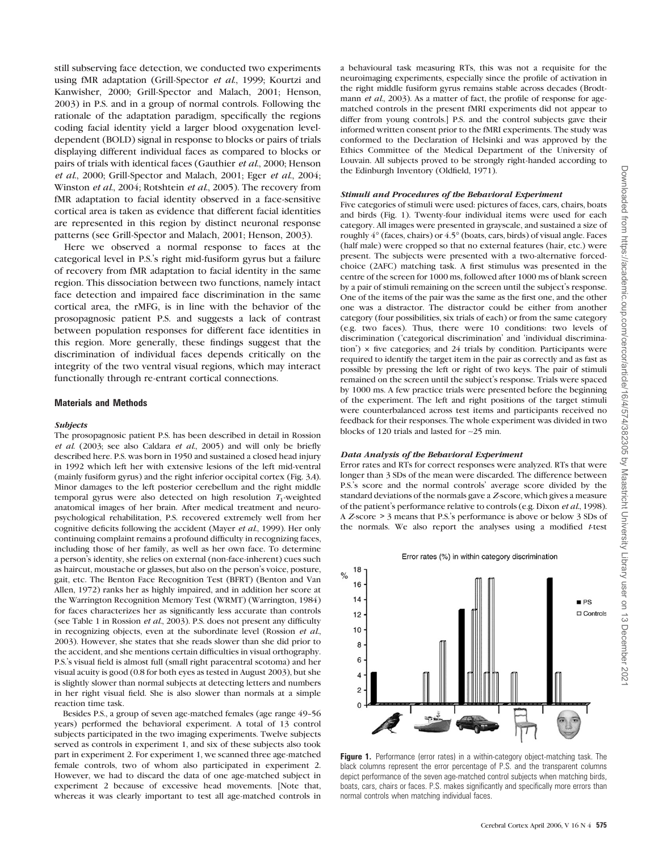still subserving face detection, we conducted two experiments using fMR adaptation (Grill-Spector et al., 1999; Kourtzi and Kanwisher, 2000; Grill-Spector and Malach, 2001; Henson, 2003) in P.S. and in a group of normal controls. Following the rationale of the adaptation paradigm, specifically the regions coding facial identity yield a larger blood oxygenation leveldependent (BOLD) signal in response to blocks or pairs of trials displaying different individual faces as compared to blocks or pairs of trials with identical faces (Gauthier et al., 2000; Henson et al., 2000; Grill-Spector and Malach, 2001; Eger et al., 2004; Winston et al., 2004; Rotshtein et al., 2005). The recovery from fMR adaptation to facial identity observed in a face-sensitive cortical area is taken as evidence that different facial identities are represented in this region by distinct neuronal response patterns (see Grill-Spector and Malach, 2001; Henson, 2003).

Here we observed a normal response to faces at the categorical level in P.S.'s right mid-fusiform gyrus but a failure of recovery from fMR adaptation to facial identity in the same region. This dissociation between two functions, namely intact face detection and impaired face discrimination in the same cortical area, the rMFG, is in line with the behavior of the prosopagnosic patient P.S. and suggests a lack of contrast between population responses for different face identities in this region. More generally, these findings suggest that the discrimination of individual faces depends critically on the integrity of the two ventral visual regions, which may interact functionally through re-entrant cortical connections.

#### Materials and Methods

#### Subjects

The prosopagnosic patient P.S. has been described in detail in Rossion et al. (2003; see also Caldara et al., 2005) and will only be briefly described here. P.S. was born in 1950 and sustained a closed head injury in 1992 which left her with extensive lesions of the left mid-ventral (mainly fusiform gyrus) and the right inferior occipital cortex (Fig. 3A). Minor damages to the left posterior cerebellum and the right middle temporal gyrus were also detected on high resolution  $T_1$ -weighted anatomical images of her brain. After medical treatment and neuropsychological rehabilitation, P.S. recovered extremely well from her cognitive deficits following the accident (Mayer et al., 1999). Her only continuing complaint remains a profound difficulty in recognizing faces, including those of her family, as well as her own face. To determine a person's identity, she relies on external (non-face-inherent) cues such as haircut, moustache or glasses, but also on the person's voice, posture, gait, etc. The Benton Face Recognition Test (BFRT) (Benton and Van Allen, 1972) ranks her as highly impaired, and in addition her score at the Warrington Recognition Memory Test (WRMT) (Warrington, 1984) for faces characterizes her as significantly less accurate than controls (see Table 1 in Rossion et al., 2003). P.S. does not present any difficulty in recognizing objects, even at the subordinate level (Rossion et al., 2003). However, she states that she reads slower than she did prior to the accident, and she mentions certain difficulties in visual orthography. P.S.'s visual field is almost full (small right paracentral scotoma) and her visual acuity is good (0.8 for both eyes as tested in August 2003), but she is slightly slower than normal subjects at detecting letters and numbers in her right visual field. She is also slower than normals at a simple reaction time task.

Besides P.S., a group of seven age-matched females (age range 49-56 years) performed the behavioral experiment. A total of 13 control subjects participated in the two imaging experiments. Twelve subjects served as controls in experiment 1, and six of these subjects also took part in experiment 2. For experiment 1, we scanned three age-matched female controls, two of whom also participated in experiment 2. However, we had to discard the data of one age-matched subject in experiment 2 because of excessive head movements. [Note that, whereas it was clearly important to test all age-matched controls in

a behavioural task measuring RTs, this was not a requisite for the neuroimaging experiments, especially since the profile of activation in the right middle fusiform gyrus remains stable across decades (Brodtmann et al., 2003). As a matter of fact, the profile of response for agematched controls in the present fMRI experiments did not appear to differ from young controls.] P.S. and the control subjects gave their informed written consent prior to the fMRI experiments. The study was conformed to the Declaration of Helsinki and was approved by the Ethics Committee of the Medical Department of the University of Louvain. All subjects proved to be strongly right-handed according to the Edinburgh Inventory (Oldfield, 1971).

#### Stimuli and Procedures of the Behavioral Experiment

Five categories of stimuli were used: pictures of faces, cars, chairs, boats and birds (Fig. 1). Twenty-four individual items were used for each category. All images were presented in grayscale, and sustained a size of roughly  $4^{\circ}$  (faces, chairs) or  $4.5^{\circ}$  (boats, cars, birds) of visual angle. Faces (half male) were cropped so that no external features (hair, etc.) were present. The subjects were presented with a two-alternative forcedchoice (2AFC) matching task. A first stimulus was presented in the centre of the screen for 1000 ms, followed after 1000 ms of blank screen by a pair of stimuli remaining on the screen until the subject's response. One of the items of the pair was the same as the first one, and the other one was a distractor. The distractor could be either from another category (four possibilities, six trials of each) or from the same category (e.g. two faces). Thus, there were 10 conditions: two levels of discrimination ('categorical discrimination' and 'individual discrimination')  $\times$  five categories; and 24 trials by condition. Participants were required to identify the target item in the pair as correctly and as fast as possible by pressing the left or right of two keys. The pair of stimuli remained on the screen until the subject's response. Trials were spaced by 1000 ms. A few practice trials were presented before the beginning of the experiment. The left and right positions of the target stimuli were counterbalanced across test items and participants received no feedback for their responses. The whole experiment was divided in two blocks of 120 trials and lasted for ~25 min.

#### Data Analysis of the Behavioral Experiment

Error rates and RTs for correct responses were analyzed. RTs that were longer than 3 SDs of the mean were discarded. The difference between P.S.'s score and the normal controls' average score divided by the standard deviations of the normals gave a Z-score, which gives a measure of the patient's performance relative to controls (e.g. Dixon et al., 1998). A Z-score > 3 means that P.S.'s performance is above or below 3 SDs of the normals. We also report the analyses using a modified  $t$ -test

## Error rates (%) in within category discrimination



Figure 1. Performance (error rates) in a within-category object-matching task. The black columns represent the error percentage of P.S. and the transparent columns depict performance of the seven age-matched control subjects when matching birds, boats, cars, chairs or faces. P.S. makes significantly and specifically more errors than normal controls when matching individual faces.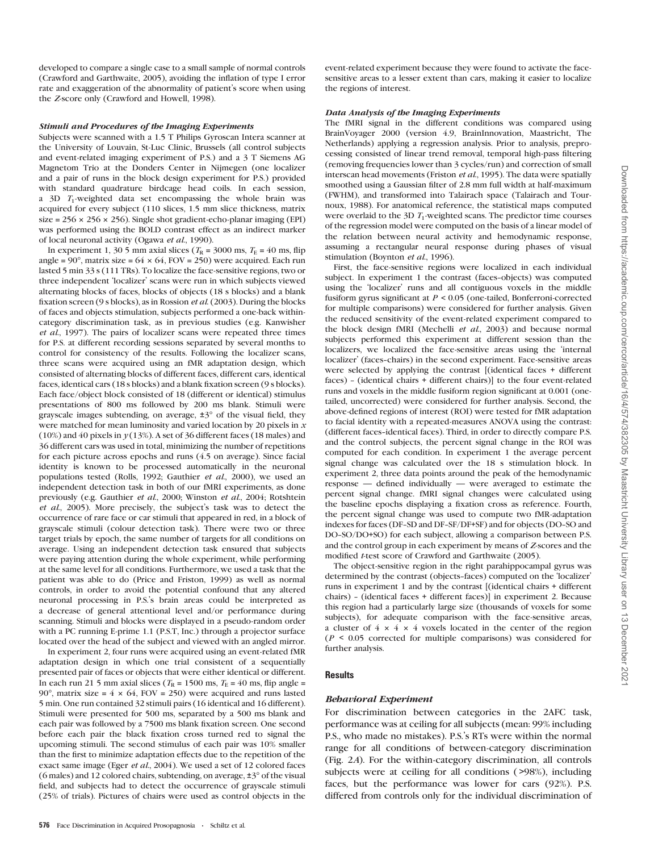developed to compare a single case to a small sample of normal controls (Crawford and Garthwaite, 2005), avoiding the inflation of type I error rate and exaggeration of the abnormality of patient's score when using the Z-score only (Crawford and Howell, 1998).

#### Stimuli and Procedures of the Imaging Experiments

Subjects were scanned with a 1.5 T Philips Gyroscan Intera scanner at the University of Louvain, St-Luc Clinic, Brussels (all control subjects and event-related imaging experiment of P.S.) and a 3 T Siemens AG Magnetom Trio at the Donders Center in Nijmegen (one localizer and a pair of runs in the block design experiment for P.S.) provided with standard quadrature birdcage head coils. In each session, a  $3D$   $T_1$ -weighted data set encompassing the whole brain was acquired for every subject (110 slices, 1.5 mm slice thickness, matrix size =  $256 \times 256 \times 256$ ). Single shot gradient-echo-planar imaging (EPI) was performed using the BOLD contrast effect as an indirect marker of local neuronal activity (Ogawa et al., 1990).

In experiment 1, 30 5 mm axial slices ( $T_R$  = 3000 ms,  $T_E$  = 40 ms, flip angle =  $90^{\circ}$ , matrix size =  $64 \times 64$ , FOV = 250) were acquired. Each run lasted 5 min 33 s (111 TRs). To localize the face-sensitive regions, two or three independent 'localizer' scans were run in which subjects viewed alternating blocks of faces, blocks of objects (18 s blocks) and a blank fixation screen (9 s blocks), as in Rossion et al. (2003). During the blocks of faces and objects stimulation, subjects performed a one-back withincategory discrimination task, as in previous studies (e.g. Kanwisher et al., 1997). The pairs of localizer scans were repeated three times for P.S. at different recording sessions separated by several months to control for consistency of the results. Following the localizer scans, three scans were acquired using an fMR adaptation design, which consisted of alternating blocks of different faces, different cars, identical faces, identical cars (18 s blocks) and a blank fixation screen (9 s blocks). Each face/object block consisted of 18 (different or identical) stimulus presentations of 800 ms followed by 200 ms blank. Stimuli were grayscale images subtending, on average,  $\pm 3^{\circ}$  of the visual field, they were matched for mean luminosity and varied location by 20 pixels in  $x$ (10%) and 40 pixels in  $y(13%)$ . A set of 36 different faces (18 males) and 36 different cars was used in total, minimizing the number of repetitions for each picture across epochs and runs (4.5 on average). Since facial identity is known to be processed automatically in the neuronal populations tested (Rolls, 1992; Gauthier et al., 2000), we used an independent detection task in both of our fMRI experiments, as done previously (e.g. Gauthier et al., 2000; Winston et al., 2004; Rotshtein et al., 2005). More precisely, the subject's task was to detect the occurrence of rare face or car stimuli that appeared in red, in a block of grayscale stimuli (colour detection task). There were two or three target trials by epoch, the same number of targets for all conditions on average. Using an independent detection task ensured that subjects were paying attention during the whole experiment, while performing at the same level for all conditions. Furthermore, we used a task that the patient was able to do (Price and Friston, 1999) as well as normal controls, in order to avoid the potential confound that any altered neuronal processing in P.S.'s brain areas could be interpreted as a decrease of general attentional level and/or performance during scanning. Stimuli and blocks were displayed in a pseudo-random order with a PC running E-prime 1.1 (P.S.T, Inc.) through a projector surface located over the head of the subject and viewed with an angled mirror.

In experiment 2, four runs were acquired using an event-related fMR adaptation design in which one trial consistent of a sequentially presented pair of faces or objects that were either identical or different. In each run 21 5 mm axial slices ( $T_R = 1500$  ms,  $T_E = 40$  ms, flip angle = 90 $^{\circ}$ , matrix size =  $4 \times 64$ , FOV = 250) were acquired and runs lasted 5 min. One run contained 32 stimuli pairs (16 identical and 16 different). Stimuli were presented for 500 ms, separated by a 500 ms blank and each pair was followed by a 7500 ms blank fixation screen. One second before each pair the black fixation cross turned red to signal the upcoming stimuli. The second stimulus of each pair was 10% smaller than the first to minimize adaptation effects due to the repetition of the exact same image (Eger et al., 2004). We used a set of 12 colored faces (6 males) and 12 colored chairs, subtending, on average,  $\pm 3^{\circ}$  of the visual field, and subjects had to detect the occurrence of grayscale stimuli (25% of trials). Pictures of chairs were used as control objects in the

event-related experiment because they were found to activate the facesensitive areas to a lesser extent than cars, making it easier to localize the regions of interest.

## Data Analysis of the Imaging Experiments

The fMRI signal in the different conditions was compared using BrainVoyager 2000 (version 4.9, BrainInnovation, Maastricht, The Netherlands) applying a regression analysis. Prior to analysis, preprocessing consisted of linear trend removal, temporal high-pass filtering (removing frequencies lower than 3 cycles/run) and correction of small interscan head movements (Friston et al., 1995). The data were spatially smoothed using a Gaussian filter of 2.8 mm full width at half-maximum (FWHM), and transformed into Talairach space (Talairach and Tournoux, 1988). For anatomical reference, the statistical maps computed were overlaid to the 3D  $T_1$ -weighted scans. The predictor time courses of the regression model were computed on the basis of a linear model of the relation between neural activity and hemodynamic response, assuming a rectangular neural response during phases of visual stimulation (Boynton et al., 1996).

First, the face-sensitive regions were localized in each individual subject. In experiment 1 the contrast (faces-objects) was computed using the 'localizer' runs and all contiguous voxels in the middle fusiform gyrus significant at  $P \leq 0.05$  (one-tailed, Bonferroni-corrected for multiple comparisons) were considered for further analysis. Given the reduced sensitivity of the event-related experiment compared to the block design fMRI (Mechelli et al., 2003) and because normal subjects performed this experiment at different session than the localizers, we localized the face-sensitive areas using the 'internal localizer' (faces-chairs) in the second experiment. Face-sensitive areas were selected by applying the contrast [(identical faces + different faces) - (identical chairs + different chairs)] to the four event-related runs and voxels in the middle fusiform region significant at 0.001 (onetailed, uncorrected) were considered for further analysis. Second, the above-defined regions of interest (ROI) were tested for fMR adaptation to facial identity with a repeated-measures ANOVA using the contrast: (different faces--identical faces). Third, in order to directly compare P.S. and the control subjects, the percent signal change in the ROI was computed for each condition. In experiment 1 the average percent signal change was calculated over the 18 s stimulation block. In experiment 2, three data points around the peak of the hemodynamic response — defined individually — were averaged to estimate the percent signal change. fMRI signal changes were calculated using the baseline epochs displaying a fixation cross as reference. Fourth, the percent signal change was used to compute two fMR-adaptation indexes for faces (DF-SD and DF-SF/DF+SF) and for objects (DO-SO and DO-SO/DO+SO) for each subject, allowing a comparison between P.S. and the control group in each experiment by means of Z-scores and the modified t-test score of Crawford and Garthwaite (2005).

The object-sensitive region in the right parahippocampal gyrus was determined by the contrast (objects--faces) computed on the 'localizer' runs in experiment 1 and by the contrast [(identical chairs + different chairs) - (identical faces + different faces)] in experiment 2. Because this region had a particularly large size (thousands of voxels for some subjects), for adequate comparison with the face-sensitive areas, a cluster of  $4 \times 4 \times 4$  voxels located in the center of the region  $(P \leq 0.05$  corrected for multiple comparisons) was considered for further analysis.

#### **Results**

#### Behavioral Experiment

For discrimination between categories in the 2AFC task, performance was at ceiling for all subjects (mean: 99% including P.S., who made no mistakes). P.S.'s RTs were within the normal range for all conditions of between-category discrimination (Fig. 2A). For the within-category discrimination, all controls subjects were at ceiling for all conditions ( $>98\%$ ), including faces, but the performance was lower for cars (92%). P.S. differed from controls only for the individual discrimination of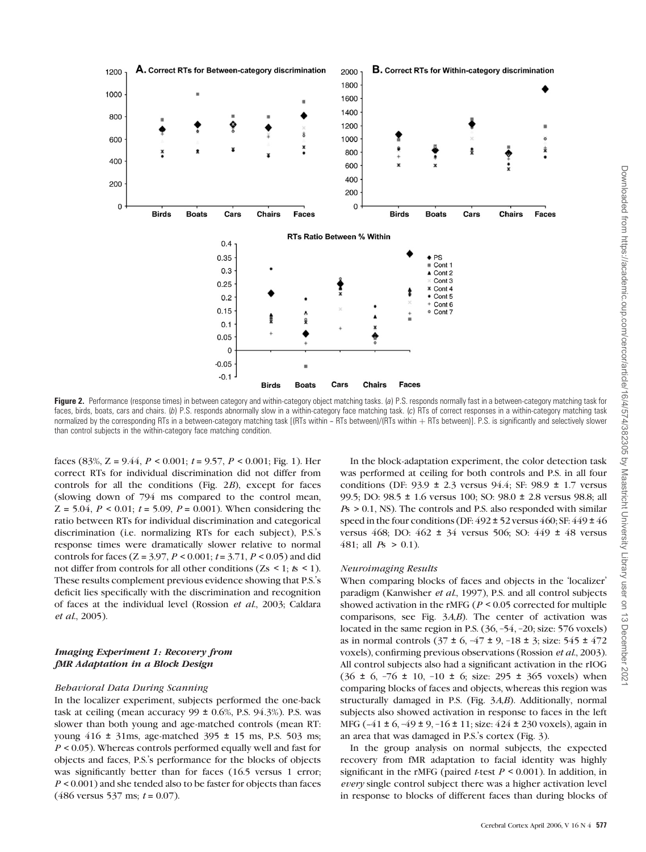

Figure 2. Performance (response times) in between category and within-category object matching tasks. (a) P.S. responds normally fast in a between-category matching task for faces, birds, boats, cars and chairs. (b) P.S. responds abnormally slow in a within-category face matching task. (c) RTs of correct responses in a within-category matching task normalized by the corresponding RTs in a between-category matching task [(RTs within - RTs between)/(RTs within + RTs between)]. P.S. is significantly and selectively slower than control subjects in the within-category face matching condition.

faces (83%, Z = 9.44,  $P < 0.001$ ;  $t = 9.57$ ,  $P < 0.001$ ; Fig. 1). Her correct RTs for individual discrimination did not differ from controls for all the conditions (Fig. 2B), except for faces (slowing down of 794 ms compared to the control mean,  $Z = 5.04$ ,  $P < 0.01$ ;  $t = 5.09$ ,  $P = 0.001$ ). When considering the ratio between RTs for individual discrimination and categorical discrimination (i.e. normalizing RTs for each subject), P.S.'s response times were dramatically slower relative to normal controls for faces ( $Z = 3.97$ ,  $P < 0.001$ ;  $t = 3.71$ ,  $P < 0.05$ ) and did not differ from controls for all other conditions (Zs < 1;  $t s$  < 1). These results complement previous evidence showing that P.S.'s deficit lies specifically with the discrimination and recognition of faces at the individual level (Rossion et al., 2003; Caldara et al., 2005).

## Imaging Experiment 1: Recovery from fMR Adaptation in a Block Design

## Behavioral Data During Scanning

In the localizer experiment, subjects performed the one-back task at ceiling (mean accuracy  $99 \pm 0.6$ %, P.S.  $94.3$ %). P.S. was slower than both young and age-matched controls (mean RT: young 416 ± 31ms, age-matched 395 ± 15 ms, P.S. 503 ms;  $P < 0.05$ ). Whereas controls performed equally well and fast for objects and faces, P.S.'s performance for the blocks of objects was significantly better than for faces (16.5 versus 1 error;  $P < 0.001$ ) and she tended also to be faster for objects than faces  $(486 \text{ versus } 537 \text{ ms}; t = 0.07).$ 

In the block-adaptation experiment, the color detection task was performed at ceiling for both controls and P.S. in all four conditions (DF: 93.9 ± 2.3 versus 94.4; SF: 98.9 ± 1.7 versus 99.5; DO: 98.5 ± 1.6 versus 100; SO: 98.0 ± 2.8 versus 98.8; all  $P_s$  > 0.1, NS). The controls and P.S. also responded with similar speed in the four conditions (DF:  $492 \pm 52$  versus  $460$ ; SF:  $449 \pm 46$ versus 468; DO: 462 ± 34 versus 506; SO: 449 ± 48 versus 481; all  $Ps > 0.1$ ).

#### Neuroimaging Results

When comparing blocks of faces and objects in the 'localizer' paradigm (Kanwisher et al., 1997), P.S. and all control subjects showed activation in the rMFG ( $P < 0.05$  corrected for multiple comparisons, see Fig. 3A,B). The center of activation was located in the same region in P.S. (36, –54, –20; size: 576 voxels) as in normal controls  $(37 \pm 6, -47 \pm 9, -18 \pm 3)$ ; size: 545  $\pm$  472 voxels), confirming previous observations (Rossion et al., 2003). All control subjects also had a significant activation in the rIOG (36  $\pm$  6,  $-76$   $\pm$  10,  $-10$   $\pm$  6; size: 295  $\pm$  365 voxels) when comparing blocks of faces and objects, whereas this region was structurally damaged in P.S. (Fig. 3A,B). Additionally, normal subjects also showed activation in response to faces in the left MFG  $(-41 \pm 6, -49 \pm 9, -16 \pm 11)$ ; size:  $424 \pm 230$  voxels), again in an area that was damaged in P.S.'s cortex (Fig. 3).

In the group analysis on normal subjects, the expected recovery from fMR adaptation to facial identity was highly significant in the rMFG (paired *t*-test  $P \le 0.001$ ). In addition, in every single control subject there was a higher activation level in response to blocks of different faces than during blocks of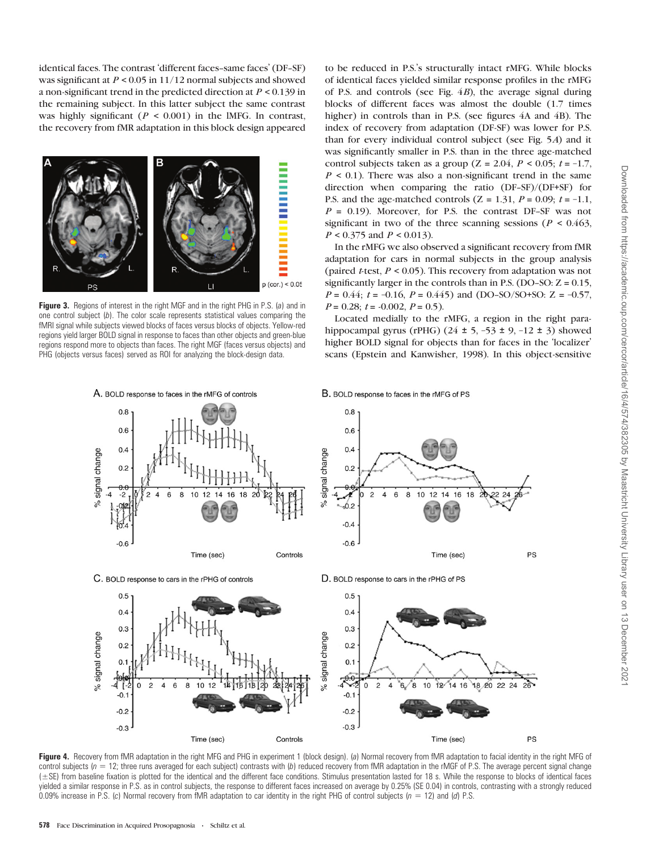identical faces. The contrast 'different faces-same faces' (DF-SF) was significant at  $P \leq 0.05$  in 11/12 normal subjects and showed a non-significant trend in the predicted direction at P < 0.139 in the remaining subject. In this latter subject the same contrast was highly significant ( $P < 0.001$ ) in the IMFG. In contrast, the recovery from fMR adaptation in this block design appeared



Figure 3. Regions of interest in the right MGF and in the right PHG in P.S. (a) and in one control subject (b). The color scale represents statistical values comparing the fMRI signal while subjects viewed blocks of faces versus blocks of objects. Yellow-red regions yield larger BOLD signal in response to faces than other objects and green-blue regions respond more to objects than faces. The right MGF (faces versus objects) and PHG (objects versus faces) served as ROI for analyzing the block-design data.

to be reduced in P.S.'s structurally intact rMFG. While blocks of identical faces yielded similar response profiles in the rMFG of P.S. and controls (see Fig. 4B), the average signal during blocks of different faces was almost the double (1.7 times higher) in controls than in P.S. (see figures 4A and 4B). The index of recovery from adaptation (DF-SF) was lower for P.S. than for every individual control subject (see Fig. 5A) and it was significantly smaller in P.S. than in the three age-matched control subjects taken as a group ( $Z = 2.04$ ,  $P < 0.05$ ;  $t = -1.7$ ,  $P \leq 0.1$ ). There was also a non-significant trend in the same direction when comparing the ratio (DF-SF)/(DF+SF) for P.S. and the age-matched controls  $(Z = 1.31, P = 0.09; t = -1.1,$  $P = 0.19$ ). Moreover, for P.S. the contrast DF-SF was not significant in two of the three scanning sessions ( $P < 0.463$ ,  $P < 0.375$  and  $P < 0.013$ ).

In the rMFG we also observed a significant recovery from fMR adaptation for cars in normal subjects in the group analysis (paired *t*-test,  $P < 0.05$ ). This recovery from adaptation was not significantly larger in the controls than in P.S. (DO-SO:  $Z = 0.15$ ,  $P = 0.44$ ;  $t = -0.16$ ,  $P = 0.445$ ) and (DO-SO/SO+SO: Z = -0.57,  $P = 0.28$ ;  $t = -0.002$ ,  $P = 0.5$ ).

Located medially to the rMFG, a region in the right parahippocampal gyrus (rPHG) (24  $\pm$  5, -53  $\pm$  9, -12  $\pm$  3) showed higher BOLD signal for objects than for faces in the 'localizer' scans (Epstein and Kanwisher, 1998). In this object-sensitive



Figure 4. Recovery from fMR adaptation in the right MFG and PHG in experiment 1 (block design). (a) Normal recovery from fMR adaptation to facial identity in the right MFG of control subjects  $(n = 12)$ ; three runs averaged for each subject) contrasts with (b) reduced recovery from fMR adaptation in the rMGF of P.S. The average percent signal change (±SE) from baseline fixation is plotted for the identical and the different face conditions. Stimulus presentation lasted for 18 s. While the response to blocks of identical faces yielded a similar response in P.S. as in control subjects, the response to different faces increased on average by 0.25% (SE 0.04) in controls, contrasting with a strongly reduced 0.09% increase in P.S. (c) Normal recovery from fMR adaptation to car identity in the right PHG of control subjects ( $n = 12$ ) and (d) P.S.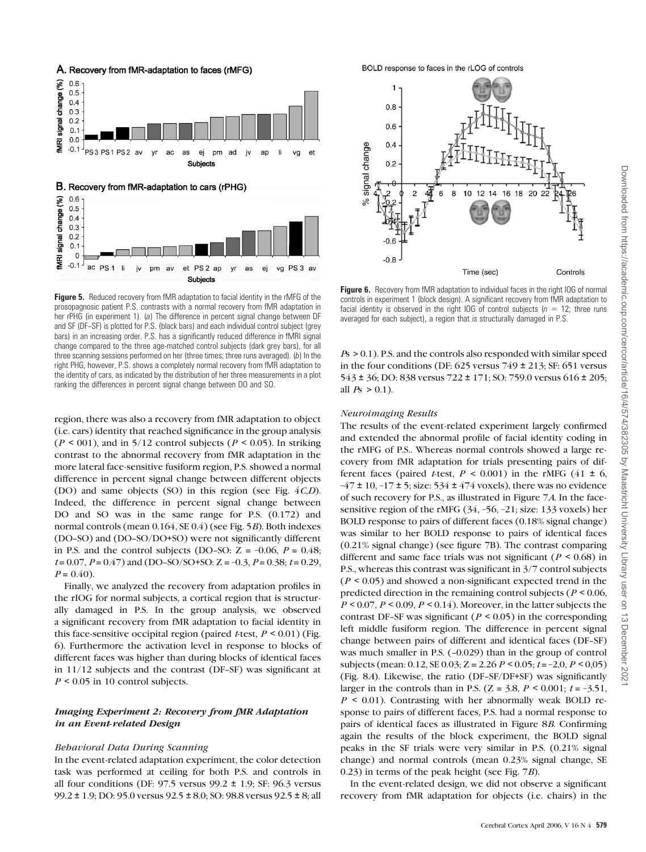

**Figure 5.** Reduced recovery from fMR adaptation to facial identity in the rMFG of the prosopagnosic patient P.S. contrasts with a normal recovery from fMR adaptation in her rPHG (in experiment 1). (a) The difference in percent signal change between DF and SF (DF-SF) is plotted for P.S. (black bars) and each individual control subject (grey bars) in an increasing order. P.S. has a significantly reduced difference in fMRI signal change compared to the three age-matched control subjects (dark grey bars), for all three scanning sessions performed on her (three times; three runs averaged). (b) In the right PHG, however, P.S. shows a completely normal recovery from fMR adaptation to the identity of cars, as indicated by the distribution of her three measurements in a plot ranking the differences in percent signal change between DO and SO.

region, there was also a recovery from fMR adaptation to object (i.e. cars) identity that reached significance in the group analysis  $(P < 001)$ , and in 5/12 control subjects  $(P < 0.05)$ . In striking contrast to the abnormal recovery from fMR adaptation in the more lateral face-sensitive fusiform region, P.S. showed a normal difference in percent signal change between different objects (DO) and same objects (SO) in this region (see Fig. 4C,D). Indeed, the difference in percent signal change between DO and SO was in the same range for P.S. (0.172) and normal controls (mean 0.164, SE 0.4) (see Fig. 5B). Both indexes (DO-SO) and (DO-SO/DO+SO) were not significantly different in P.S. and the control subjects (DO-SO:  $Z = -0.06$ ,  $P = 0.48$ ;  $t = 0.07$ ,  $P = 0.47$ ) and (DO-SO/SO+SO: Z = -0.3,  $P = 0.38$ ;  $t = 0.29$ ,  $P = 0.40$ ).

Finally, we analyzed the recovery from adaptation profiles in the rIOG for normal subjects, a cortical region that is structurally damaged in P.S. In the group analysis, we observed a significant recovery from fMR adaptation to facial identity in this face-sensitive occipital region (paired t-test,  $P \le 0.01$ ) (Fig. 6). Furthermore the activation level in response to blocks of different faces was higher than during blocks of identical faces in  $11/12$  subjects and the contrast (DF-SF) was significant at  $P \leq 0.05$  in 10 control subjects.

## Imaging Experiment 2: Recovery from fMR Adaptation in an Event-related Design

#### Behavioral Data During Scanning

In the event-related adaptation experiment, the color detection task was performed at ceiling for both P.S. and controls in all four conditions (DF:  $97.5$  versus  $99.2 \pm 1.9$ ; SF:  $96.3$  versus 99.2 ± 1.9; DO: 95.0 versus 92.5 ± 8.0; SO: 98.8 versus 92.5 ± 8; all

BOLD response to faces in the rLOG of controls



Figure 6. Recovery from fMR adaptation to individual faces in the right IOG of normal controls in experiment 1 (block design). A significant recovery from fMR adaptation to facial identity is observed in the right IOG of control subjects ( $n = 12$ ; three runs averaged for each subject), a region that is structurally damaged in P.S.

Ps > 0.1). P.S. and the controls also responded with similar speed in the four conditions (DF:  $625$  versus  $749 \pm 213$ ; SF:  $651$  versus 543 ± 36; DO: 838 versus 722 ± 171; SO: 759.0 versus 616 ± 205; all  $P_5 > 0.1$ ).

## Neuroimaging Results

The results of the event-related experiment largely confirmed and extended the abnormal profile of facial identity coding in the rMFG of P.S.. Whereas normal controls showed a large recovery from fMR adaptation for trials presenting pairs of different faces (paired *t*-test,  $P < 0.001$ ) in the rMFG (41  $\pm$  6,  $-47 \pm 10$ ,  $-17 \pm 5$ ; size: 534  $\pm 474$  voxels), there was no evidence of such recovery for P.S., as illustrated in Figure 7A. In the facesensitive region of the rMFG (34, –56, –21; size: 133 voxels) her BOLD response to pairs of different faces (0.18% signal change) was similar to her BOLD response to pairs of identical faces (0.21% signal change) (see figure 7B). The contrast comparing different and same face trials was not significant ( $P < 0.68$ ) in P.S., whereas this contrast was significant in 3/7 control subjects  $(P \le 0.05)$  and showed a non-significant expected trend in the predicted direction in the remaining control subjects ( $P < 0.06$ ,  $P \le 0.07$ ,  $P \le 0.09$ ,  $P \le 0.14$ ). Moreover, in the latter subjects the contrast DF-SF was significant ( $P < 0.05$ ) in the corresponding left middle fusiform region. The difference in percent signal change between pairs of different and identical faces (DF-SF) was much smaller in P.S. (-0.029) than in the group of control subjects (mean: 0.12, SE 0.03; Z = 2.26  $P < 0.05$ ;  $t = -2.0$ ,  $P < 0.05$ ) (Fig. 8A). Likewise, the ratio (DF-SF/DF+SF) was significantly larger in the controls than in P.S. ( $Z = 3.8$ ,  $P < 0.001$ ;  $t = -3.51$ ,  $P \leq 0.01$ ). Contrasting with her abnormally weak BOLD response to pairs of different faces, P.S. had a normal response to pairs of identical faces as illustrated in Figure 8B. Confirming again the results of the block experiment, the BOLD signal peaks in the SF trials were very similar in P.S. (0.21% signal change) and normal controls (mean 0.23% signal change, SE 0.23) in terms of the peak height (see Fig. 7B).

In the event-related design, we did not observe a significant recovery from fMR adaptation for objects (i.e. chairs) in the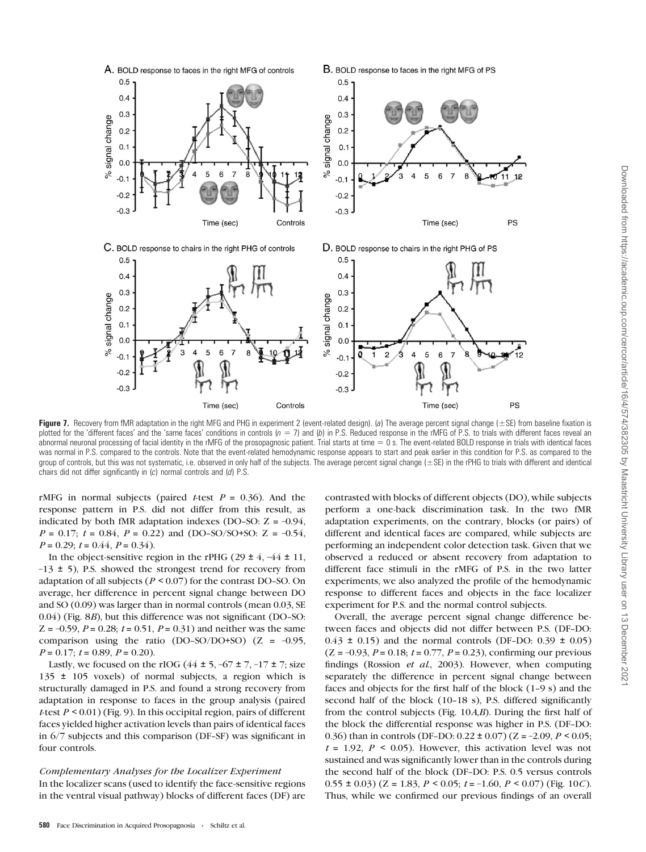

Figure 7. Recovery from fMR adaptation in the right MFG and PHG in experiment 2 (event-related design). (a) The average percent signal change ( $\pm$ SE) from baseline fixation is plotted for the 'different faces' and the 'same faces' conditions in controls  $(p = 7)$  and  $(b)$  in P.S. Reduced response in the rMFG of P.S. to trials with different faces reveal an abnormal neuronal processing of facial identity in the rMFG of the prosopagnosic patient. Trial starts at time  $= 0$  s. The event-related BOLD response in trials with identical faces was normal in P.S. compared to the controls. Note that the event-related hemodynamic response appears to start and peak earlier in this condition for P.S. as compared to the group of controls, but this was not systematic, i.e. observed in only half of the subjects. The average percent signal change (±SE) in the rPHG to trials with different and identical chairs did not differ significantly in (c) normal controls and (d) P.S.

rMFG in normal subjects (paired t-test  $P = 0.36$ ). And the response pattern in P.S. did not differ from this result, as indicated by both fMR adaptation indexes (DO-SO:  $Z = -0.94$ ,  $P = 0.17$ ;  $t = 0.84$ ,  $P = 0.22$ ) and (DO-SO/SO+SO: Z = -0.54,  $P = 0.29$ ;  $t = 0.44$ ,  $P = 0.34$ ).

In the object-sensitive region in the rPHG (29  $\pm$  4, -44  $\pm$  11,  $-13 \pm 5$ ), P.S. showed the strongest trend for recovery from adaptation of all subjects ( $P \le 0.07$ ) for the contrast DO-SO. On average, her difference in percent signal change between DO and SO (0.09) was larger than in normal controls (mean 0.03, SE  $(0.04)$  (Fig. 8*B*), but this difference was not significant (DO-SO:  $Z = -0.59$ ,  $P = 0.28$ ;  $t = 0.51$ ,  $P = 0.31$ ) and neither was the same comparison using the ratio (DO-SO/DO+SO) ( $Z = -0.95$ ,  $P = 0.17$ ;  $t = 0.89$ ,  $P = 0.20$ ).

Lastly, we focused on the rIOG ( $44 \pm 5$ ,  $-67 \pm 7$ ,  $-17 \pm 7$ ; size 135 ± 105 voxels) of normal subjects, a region which is structurally damaged in P.S. and found a strong recovery from adaptation in response to faces in the group analysis (paired t-test  $P < 0.01$ ) (Fig. 9). In this occipital region, pairs of different faces yielded higher activation levels than pairs of identical faces in 6/7 subjects and this comparison (DF-SF) was significant in four controls.

Complementary Analyses for the Localizer Experiment In the localizer scans (used to identify the face-sensitive regions in the ventral visual pathway) blocks of different faces (DF) are contrasted with blocks of different objects (DO), while subjects perform a one-back discrimination task. In the two fMR adaptation experiments, on the contrary, blocks (or pairs) of different and identical faces are compared, while subjects are performing an independent color detection task. Given that we observed a reduced or absent recovery from adaptation to different face stimuli in the rMFG of P.S. in the two latter experiments, we also analyzed the profile of the hemodynamic response to different faces and objects in the face localizer experiment for P.S. and the normal control subjects.

Overall, the average percent signal change difference between faces and objects did not differ between P.S. (DF-DO:  $0.43 \pm 0.15$  and the normal controls (DF-DO: 0.39  $\pm$  0.05)  $(Z = -0.93, P = 0.18; t = 0.77, P = 0.23)$ , confirming our previous findings (Rossion et al., 2003). However, when computing separately the difference in percent signal change between faces and objects for the first half of the block  $(1-9 s)$  and the second half of the block  $(10-18 \text{ s})$ , P.S. differed significantly from the control subjects (Fig. 10A,B). During the first half of the block the differential response was higher in P.S. (DF-DO: 0.36) than in controls (DF-DO:  $0.22 \pm 0.07$ ) (Z = -2.09, P < 0.05;  $t = 1.92$ ,  $P \le 0.05$ ). However, this activation level was not sustained and was significantly lower than in the controls during the second half of the block (DF-DO: P.S. 0.5 versus controls  $(0.55 \pm 0.03)$   $(Z = 1.83, P \le 0.05; t = -1.60, P \le 0.07)$  (Fig. 10*C*). Thus, while we confirmed our previous findings of an overall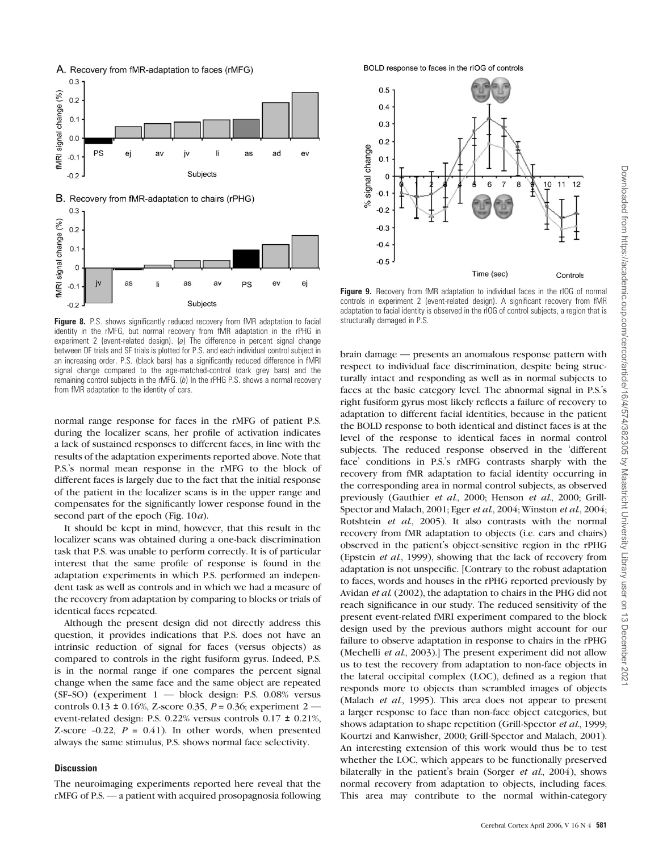

Figure 8. P.S. shows significantly reduced recovery from fMR adaptation to facial structurally damaged in P.S. identity in the rMFG, but normal recovery from fMR adaptation in the rPHG in experiment 2 (event-related design). (a) The difference in percent signal change between DF trials and SF trials is plotted for P.S. and each individual control subject in an increasing order. P.S. (black bars) has a significantly reduced difference in fMRI signal change compared to the age-matched-control (dark grey bars) and the remaining control subjects in the rMFG. (b) In the rPHG P.S. shows a normal recovery from fMR adaptation to the identity of cars.

normal range response for faces in the rMFG of patient P.S. during the localizer scans, her profile of activation indicates a lack of sustained responses to different faces, in line with the results of the adaptation experiments reported above. Note that P.S.'s normal mean response in the rMFG to the block of different faces is largely due to the fact that the initial response of the patient in the localizer scans is in the upper range and compensates for the significantly lower response found in the second part of the epoch (Fig. 10*a*).

It should be kept in mind, however, that this result in the localizer scans was obtained during a one-back discrimination task that P.S. was unable to perform correctly. It is of particular interest that the same profile of response is found in the adaptation experiments in which P.S. performed an independent task as well as controls and in which we had a measure of the recovery from adaptation by comparing to blocks or trials of identical faces repeated.

Although the present design did not directly address this question, it provides indications that P.S. does not have an intrinsic reduction of signal for faces (versus objects) as compared to controls in the right fusiform gyrus. Indeed, P.S. is in the normal range if one compares the percent signal change when the same face and the same object are repeated  $(SF-SO)$  (experiment  $1$  — block design: P.S. 0.08% versus controls  $0.13 \pm 0.16$ %, Z-score 0.35, P = 0.36; experiment 2 event-related design: P.S. 0.22% versus controls 0.17 ± 0.21%, Z-score  $-0.22$ ,  $P = 0.41$ ). In other words, when presented always the same stimulus, P.S. shows normal face selectivity.

#### **Discussion**

The neuroimaging experiments reported here reveal that the rMFG of P.S. — a patient with acquired prosopagnosia following

BOLD response to faces in the rIOG of controls



**Figure 9.** Recovery from fMR adaptation to individual faces in the rIOG of normal controls in experiment 2 (event-related design). A significant recovery from fMR adaptation to facial identity is observed in the rIOG of control subjects, a region that is

brain damage — presents an anomalous response pattern with respect to individual face discrimination, despite being structurally intact and responding as well as in normal subjects to faces at the basic category level. The abnormal signal in P.S.'s right fusiform gyrus most likely reflects a failure of recovery to adaptation to different facial identities, because in the patient the BOLD response to both identical and distinct faces is at the level of the response to identical faces in normal control subjects. The reduced response observed in the 'different face' conditions in P.S.'s rMFG contrasts sharply with the recovery from fMR adaptation to facial identity occurring in the corresponding area in normal control subjects, as observed previously (Gauthier et al., 2000; Henson et al., 2000; Grill-Spector and Malach, 2001; Eger et al., 2004; Winston et al., 2004; Rotshtein et al., 2005). It also contrasts with the normal recovery from fMR adaptation to objects (i.e. cars and chairs) observed in the patient's object-sensitive region in the rPHG (Epstein et al., 1999), showing that the lack of recovery from adaptation is not unspecific. [Contrary to the robust adaptation to faces, words and houses in the rPHG reported previously by Avidan et al. (2002), the adaptation to chairs in the PHG did not reach significance in our study. The reduced sensitivity of the present event-related fMRI experiment compared to the block design used by the previous authors might account for our failure to observe adaptation in response to chairs in the rPHG (Mechelli et al., 2003).] The present experiment did not allow us to test the recovery from adaptation to non-face objects in the lateral occipital complex (LOC), defined as a region that responds more to objects than scrambled images of objects (Malach et al., 1995). This area does not appear to present a larger response to face than non-face object categories, but shows adaptation to shape repetition (Grill-Spector *et al.*, 1999; Kourtzi and Kanwisher, 2000; Grill-Spector and Malach, 2001). An interesting extension of this work would thus be to test whether the LOC, which appears to be functionally preserved bilaterally in the patient's brain (Sorger *et al.*, 2004), shows normal recovery from adaptation to objects, including faces. This area may contribute to the normal within-category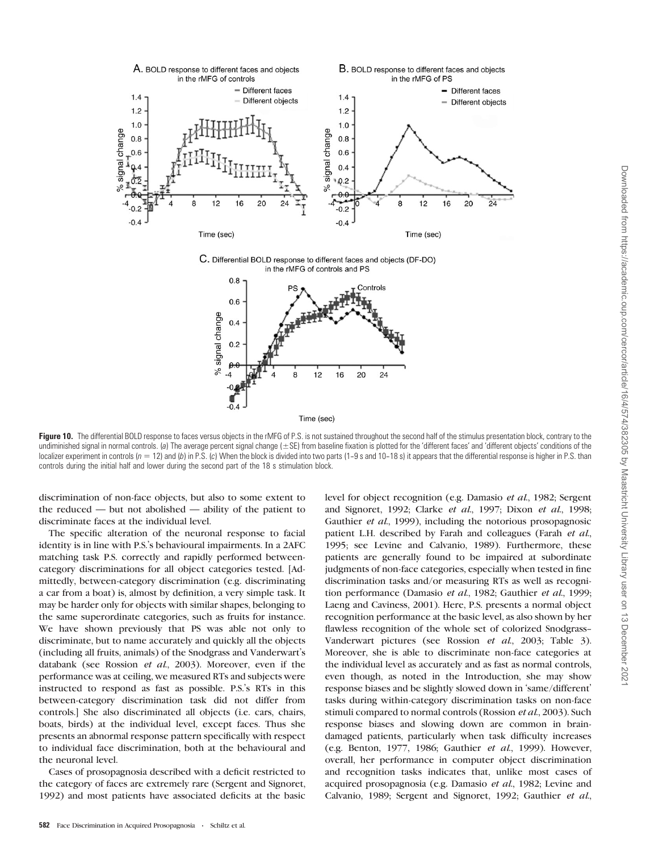



Figure 10. The differential BOLD response to faces versus objects in the rMFG of P.S. is not sustained throughout the second half of the stimulus presentation block, contrary to the undiminished signal in normal controls. (a) The average percent signal change (±SE) from baseline fixation is plotted for the 'different faces' and 'different objects' conditions of the localizer experiment in controls ( $n = 12$ ) and (b) in P.S. (c) When the block is divided into two parts (1-9 s and 10-18 s) it appears that the differential response is higher in P.S. than controls during the initial half and lower during the second part of the 18 s stimulation block.

discrimination of non-face objects, but also to some extent to the reduced — but not abolished — ability of the patient to discriminate faces at the individual level.

The specific alteration of the neuronal response to facial identity is in line with P.S.'s behavioural impairments. In a 2AFC matching task P.S. correctly and rapidly performed betweencategory discriminations for all object categories tested. [Admittedly, between-category discrimination (e.g. discriminating a car from a boat) is, almost by definition, a very simple task. It may be harder only for objects with similar shapes, belonging to the same superordinate categories, such as fruits for instance. We have shown previously that PS was able not only to discriminate, but to name accurately and quickly all the objects (including all fruits, animals) of the Snodgrass and Vanderwart's databank (see Rossion et al., 2003). Moreover, even if the performance was at ceiling, we measured RTs and subjects were instructed to respond as fast as possible. P.S.'s RTs in this between-category discrimination task did not differ from controls.] She also discriminated all objects (i.e. cars, chairs, boats, birds) at the individual level, except faces. Thus she presents an abnormal response pattern specifically with respect to individual face discrimination, both at the behavioural and the neuronal level.

Cases of prosopagnosia described with a deficit restricted to the category of faces are extremely rare (Sergent and Signoret, 1992) and most patients have associated deficits at the basic

level for object recognition (e.g. Damasio et al., 1982; Sergent and Signoret, 1992; Clarke et al., 1997; Dixon et al., 1998; Gauthier et al., 1999), including the notorious prosopagnosic patient L.H. described by Farah and colleagues (Farah et al., 1995; see Levine and Calvanio, 1989). Furthermore, these patients are generally found to be impaired at subordinate judgments of non-face categories, especially when tested in fine discrimination tasks and/or measuring RTs as well as recognition performance (Damasio et al., 1982; Gauthier et al., 1999; Laeng and Caviness, 2001). Here, P.S. presents a normal object recognition performance at the basic level, as also shown by her flawless recognition of the whole set of colorized Snodgrass-- Vanderwart pictures (see Rossion et al., 2003; Table 3). Moreover, she is able to discriminate non-face categories at the individual level as accurately and as fast as normal controls, even though, as noted in the Introduction, she may show response biases and be slightly slowed down in 'same/different' tasks during within-category discrimination tasks on non-face stimuli compared to normal controls (Rossion et al., 2003). Such response biases and slowing down are common in braindamaged patients, particularly when task difficulty increases (e.g. Benton, 1977, 1986; Gauthier et al., 1999). However, overall, her performance in computer object discrimination and recognition tasks indicates that, unlike most cases of acquired prosopagnosia (e.g. Damasio et al., 1982; Levine and Calvanio, 1989; Sergent and Signoret, 1992; Gauthier et al.,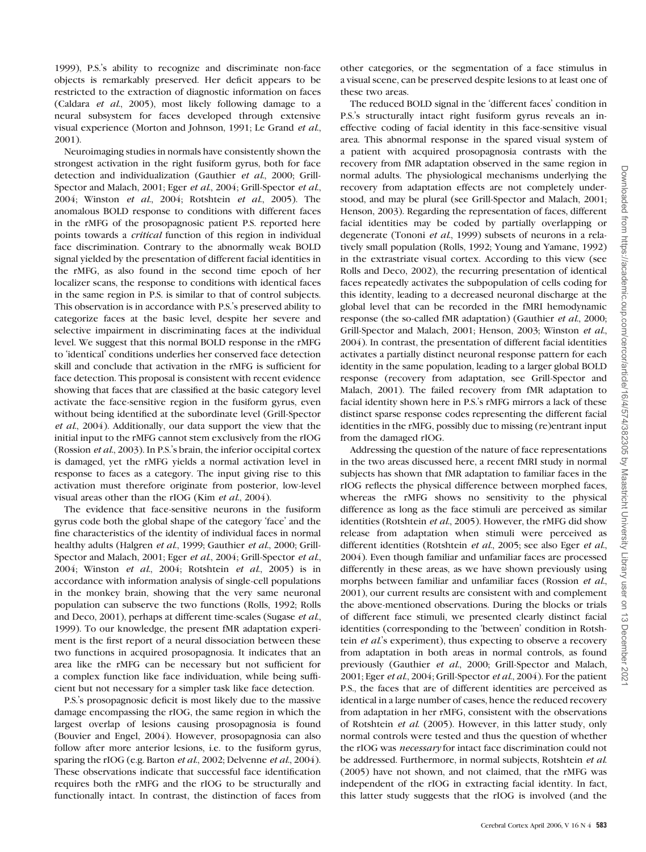1999), P.S.'s ability to recognize and discriminate non-face objects is remarkably preserved. Her deficit appears to be restricted to the extraction of diagnostic information on faces (Caldara et al., 2005), most likely following damage to a neural subsystem for faces developed through extensive visual experience (Morton and Johnson, 1991; Le Grand et al., 2001).

Neuroimaging studies in normals have consistently shown the strongest activation in the right fusiform gyrus, both for face detection and individualization (Gauthier et al., 2000; Grill-Spector and Malach, 2001; Eger et al., 2004; Grill-Spector et al., 2004; Winston et al., 2004; Rotshtein et al., 2005). The anomalous BOLD response to conditions with different faces in the rMFG of the prosopagnosic patient P.S. reported here points towards a critical function of this region in individual face discrimination. Contrary to the abnormally weak BOLD signal yielded by the presentation of different facial identities in the rMFG, as also found in the second time epoch of her localizer scans, the response to conditions with identical faces in the same region in P.S. is similar to that of control subjects. This observation is in accordance with P.S.'s preserved ability to categorize faces at the basic level, despite her severe and selective impairment in discriminating faces at the individual level. We suggest that this normal BOLD response in the rMFG to 'identical' conditions underlies her conserved face detection skill and conclude that activation in the rMFG is sufficient for face detection. This proposal is consistent with recent evidence showing that faces that are classified at the basic category level activate the face-sensitive region in the fusiform gyrus, even without being identified at the subordinate level (Grill-Spector et al., 2004). Additionally, our data support the view that the initial input to the rMFG cannot stem exclusively from the rIOG (Rossion et al., 2003). In P.S.'s brain, the inferior occipital cortex is damaged, yet the rMFG yields a normal activation level in response to faces as a category. The input giving rise to this activation must therefore originate from posterior, low-level visual areas other than the rIOG (Kim et al., 2004).

The evidence that face-sensitive neurons in the fusiform gyrus code both the global shape of the category 'face' and the fine characteristics of the identity of individual faces in normal healthy adults (Halgren et al., 1999; Gauthier et al., 2000; Grill-Spector and Malach, 2001; Eger et al., 2004; Grill-Spector et al., 2004; Winston et al., 2004; Rotshtein et al., 2005) is in accordance with information analysis of single-cell populations in the monkey brain, showing that the very same neuronal population can subserve the two functions (Rolls, 1992; Rolls and Deco, 2001), perhaps at different time-scales (Sugase et al., 1999). To our knowledge, the present fMR adaptation experiment is the first report of a neural dissociation between these two functions in acquired prosopagnosia. It indicates that an area like the rMFG can be necessary but not sufficient for a complex function like face individuation, while being sufficient but not necessary for a simpler task like face detection.

P.S.'s prosopagnosic deficit is most likely due to the massive damage encompassing the rIOG, the same region in which the largest overlap of lesions causing prosopagnosia is found (Bouvier and Engel, 2004). However, prosopagnosia can also follow after more anterior lesions, i.e. to the fusiform gyrus, sparing the rIOG (e.g. Barton *et al.*, 2002; Delvenne *et al.*, 2004). These observations indicate that successful face identification requires both the rMFG and the rIOG to be structurally and functionally intact. In contrast, the distinction of faces from

other categories, or the segmentation of a face stimulus in a visual scene, can be preserved despite lesions to at least one of these two areas.

The reduced BOLD signal in the 'different faces' condition in P.S.'s structurally intact right fusiform gyrus reveals an ineffective coding of facial identity in this face-sensitive visual area. This abnormal response in the spared visual system of a patient with acquired prosopagnosia contrasts with the recovery from fMR adaptation observed in the same region in normal adults. The physiological mechanisms underlying the recovery from adaptation effects are not completely understood, and may be plural (see Grill-Spector and Malach, 2001; Henson, 2003). Regarding the representation of faces, different facial identities may be coded by partially overlapping or degenerate (Tononi et al., 1999) subsets of neurons in a relatively small population (Rolls, 1992; Young and Yamane, 1992) in the extrastriate visual cortex. According to this view (see Rolls and Deco, 2002), the recurring presentation of identical faces repeatedly activates the subpopulation of cells coding for this identity, leading to a decreased neuronal discharge at the global level that can be recorded in the fMRI hemodynamic response (the so-called fMR adaptation) (Gauthier et al., 2000; Grill-Spector and Malach, 2001; Henson, 2003; Winston et al., 2004). In contrast, the presentation of different facial identities activates a partially distinct neuronal response pattern for each identity in the same population, leading to a larger global BOLD response (recovery from adaptation, see Grill-Spector and Malach, 2001). The failed recovery from fMR adaptation to facial identity shown here in P.S.'s rMFG mirrors a lack of these distinct sparse response codes representing the different facial identities in the rMFG, possibly due to missing (re)entrant input from the damaged rIOG.

Addressing the question of the nature of face representations in the two areas discussed here, a recent fMRI study in normal subjects has shown that fMR adaptation to familiar faces in the rIOG reflects the physical difference between morphed faces, whereas the rMFG shows no sensitivity to the physical difference as long as the face stimuli are perceived as similar identities (Rotshtein et al., 2005). However, the rMFG did show release from adaptation when stimuli were perceived as different identities (Rotshtein et al., 2005; see also Eger et al., 2004). Even though familiar and unfamiliar faces are processed differently in these areas, as we have shown previously using morphs between familiar and unfamiliar faces (Rossion *et al.*, 2001), our current results are consistent with and complement the above-mentioned observations. During the blocks or trials of different face stimuli, we presented clearly distinct facial identities (corresponding to the 'between' condition in Rotshtein et al.'s experiment), thus expecting to observe a recovery from adaptation in both areas in normal controls, as found previously (Gauthier et al., 2000; Grill-Spector and Malach, 2001; Eger et al., 2004; Grill-Spector et al., 2004). For the patient P.S., the faces that are of different identities are perceived as identical in a large number of cases, hence the reduced recovery from adaptation in her rMFG, consistent with the observations of Rotshtein et al. (2005). However, in this latter study, only normal controls were tested and thus the question of whether the rIOG was necessary for intact face discrimination could not be addressed. Furthermore, in normal subjects, Rotshtein et al. (2005) have not shown, and not claimed, that the rMFG was independent of the rIOG in extracting facial identity. In fact, this latter study suggests that the rIOG is involved (and the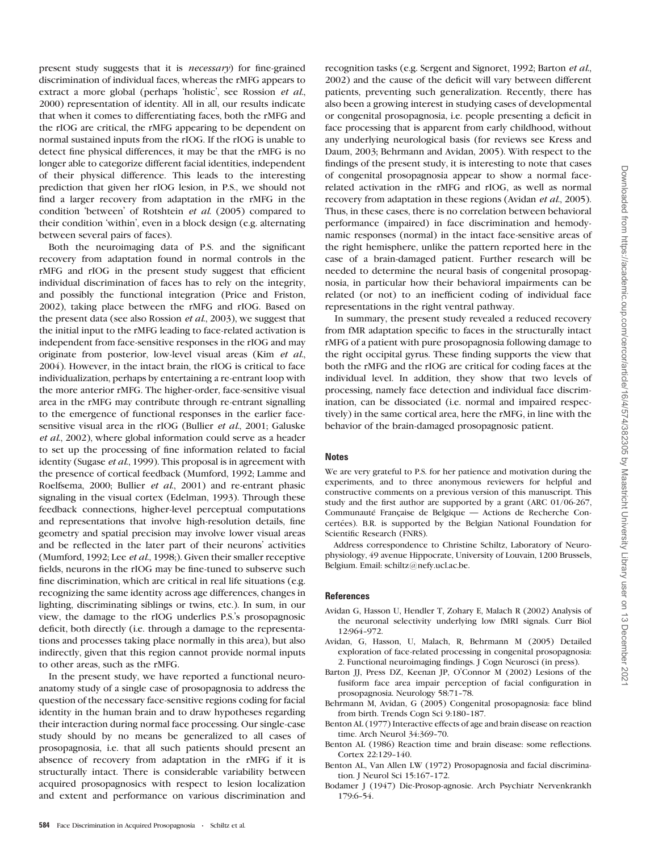present study suggests that it is necessary) for fine-grained discrimination of individual faces, whereas the rMFG appears to extract a more global (perhaps 'holistic', see Rossion et al., 2000) representation of identity. All in all, our results indicate that when it comes to differentiating faces, both the rMFG and the rIOG are critical, the rMFG appearing to be dependent on normal sustained inputs from the rIOG. If the rIOG is unable to detect fine physical differences, it may be that the rMFG is no longer able to categorize different facial identities, independent of their physical difference. This leads to the interesting prediction that given her rIOG lesion, in P.S., we should not find a larger recovery from adaptation in the rMFG in the condition 'between' of Rotshtein et al. (2005) compared to their condition 'within', even in a block design (e.g. alternating between several pairs of faces).

Both the neuroimaging data of P.S. and the significant recovery from adaptation found in normal controls in the rMFG and rIOG in the present study suggest that efficient individual discrimination of faces has to rely on the integrity, and possibly the functional integration (Price and Friston, 2002), taking place between the rMFG and rIOG. Based on the present data (see also Rossion et al., 2003), we suggest that the initial input to the rMFG leading to face-related activation is independent from face-sensitive responses in the rIOG and may originate from posterior, low-level visual areas (Kim et al., 2004). However, in the intact brain, the rIOG is critical to face individualization, perhaps by entertaining a re-entrant loop with the more anterior rMFG. The higher-order, face-sensitive visual area in the rMFG may contribute through re-entrant signalling to the emergence of functional responses in the earlier facesensitive visual area in the rIOG (Bullier et al., 2001; Galuske et al., 2002), where global information could serve as a header to set up the processing of fine information related to facial identity (Sugase *et al.*, 1999). This proposal is in agreement with the presence of cortical feedback (Mumford, 1992; Lamme and Roelfsema, 2000; Bullier et al., 2001) and re-entrant phasic signaling in the visual cortex (Edelman, 1993). Through these feedback connections, higher-level perceptual computations and representations that involve high-resolution details, fine geometry and spatial precision may involve lower visual areas and be reflected in the later part of their neurons' activities (Mumford, 1992; Lee et al., 1998;). Given their smaller receptive fields, neurons in the rIOG may be fine-tuned to subserve such fine discrimination, which are critical in real life situations (e.g. recognizing the same identity across age differences, changes in lighting, discriminating siblings or twins, etc.). In sum, in our view, the damage to the rIOG underlies P.S.'s prosopagnosic deficit, both directly (i.e. through a damage to the representations and processes taking place normally in this area), but also indirectly, given that this region cannot provide normal inputs to other areas, such as the rMFG.

In the present study, we have reported a functional neuroanatomy study of a single case of prosopagnosia to address the question of the necessary face-sensitive regions coding for facial identity in the human brain and to draw hypotheses regarding their interaction during normal face processing. Our single-case study should by no means be generalized to all cases of prosopagnosia, i.e. that all such patients should present an absence of recovery from adaptation in the rMFG if it is structurally intact. There is considerable variability between acquired prosopagnosics with respect to lesion localization and extent and performance on various discrimination and

recognition tasks (e.g. Sergent and Signoret, 1992; Barton et al., 2002) and the cause of the deficit will vary between different patients, preventing such generalization. Recently, there has also been a growing interest in studying cases of developmental or congenital prosopagnosia, i.e. people presenting a deficit in face processing that is apparent from early childhood, without any underlying neurological basis (for reviews see Kress and Daum, 2003; Behrmann and Avidan, 2005). With respect to the findings of the present study, it is interesting to note that cases of congenital prosopagnosia appear to show a normal facerelated activation in the rMFG and rIOG, as well as normal recovery from adaptation in these regions (Avidan et al., 2005). Thus, in these cases, there is no correlation between behavioral performance (impaired) in face discrimination and hemodynamic responses (normal) in the intact face-sensitive areas of the right hemisphere, unlike the pattern reported here in the case of a brain-damaged patient. Further research will be needed to determine the neural basis of congenital prosopagnosia, in particular how their behavioral impairments can be related (or not) to an inefficient coding of individual face representations in the right ventral pathway.

In summary, the present study revealed a reduced recovery from fMR adaptation specific to faces in the structurally intact rMFG of a patient with pure prosopagnosia following damage to the right occipital gyrus. These finding supports the view that both the rMFG and the rIOG are critical for coding faces at the individual level. In addition, they show that two levels of processing, namely face detection and individual face discrimination, can be dissociated (i.e. normal and impaired respectively) in the same cortical area, here the rMFG, in line with the behavior of the brain-damaged prosopagnosic patient.

#### **Notes**

We are very grateful to P.S. for her patience and motivation during the experiments, and to three anonymous reviewers for helpful and constructive comments on a previous version of this manuscript. This study and the first author are supported by a grant (ARC 01/06-267, Communauté Française de Belgique — Actions de Recherche Concertées). B.R. is supported by the Belgian National Foundation for Scientific Research (FNRS).

Address correspondence to Christine Schiltz, Laboratory of Neurophysiology, 49 avenue Hippocrate, University of Louvain, 1200 Brussels, Belgium. Email: schiltz@nefy.ucl.ac.be.

#### References

- Avidan G, Hasson U, Hendler T, Zohary E, Malach R (2002) Analysis of the neuronal selectivity underlying low fMRI signals. Curr Biol 12:964-972.
- Avidan, G, Hasson, U, Malach, R, Behrmann M (2005) Detailed exploration of face-related processing in congenital prosopagnosia: 2. Functional neuroimaging findings. J Cogn Neurosci (in press).
- Barton JJ, Press DZ, Keenan JP, O'Connor M (2002) Lesions of the fusiform face area impair perception of facial configuration in prosopagnosia. Neurology 58:71-78.
- Behrmann M, Avidan, G (2005) Congenital prosopagnosia: face blind from birth. Trends Cogn Sci 9:180-187.
- Benton AL (1977) Interactive effects of age and brain disease on reaction time. Arch Neurol 34:369-70.
- Benton AL (1986) Reaction time and brain disease: some reflections. Cortex 22:129-140.
- Benton AL, Van Allen LW (1972) Prosopagnosia and facial discrimination. J Neurol Sci 15:167-172.
- Bodamer J (1947) Die-Prosop-agnosie. Arch Psychiatr Nervenkrankh 179:6-54.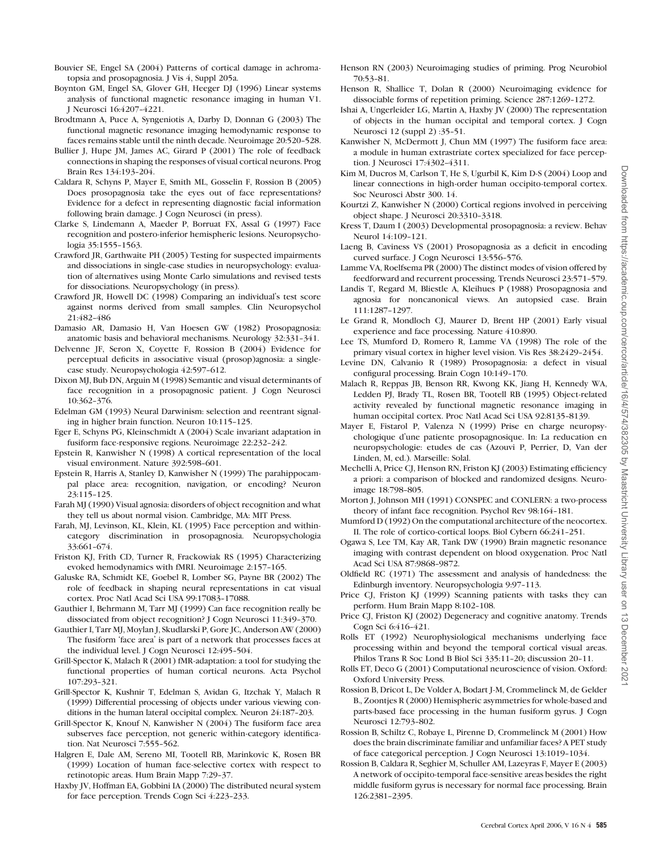- Bouvier SE, Engel SA (2004) Patterns of cortical damage in achromatopsia and prosopagnosia. J Vis 4, Suppl 205a.
- Boynton GM, Engel SA, Glover GH, Heeger DJ (1996) Linear systems analysis of functional magnetic resonance imaging in human V1. J Neurosci 16:4207-4221.
- Brodtmann A, Puce A, Syngeniotis A, Darby D, Donnan G (2003) The functional magnetic resonance imaging hemodynamic response to faces remains stable until the ninth decade. Neuroimage 20:520-528.
- Bullier J, Hupe JM, James AC, Girard P (2001) The role of feedback connections in shaping the responses of visual cortical neurons. Prog Brain Res 134:193-204.
- Caldara R, Schyns P, Mayer E, Smith ML, Gosselin F, Rossion B (2005) Does prosopagnosia take the eyes out of face representations? Evidence for a defect in representing diagnostic facial information following brain damage. J Cogn Neurosci (in press).
- Clarke S, Lindemann A, Maeder P, Borruat FX, Assal G (1997) Face recognition and postero-inferior hemispheric lesions. Neuropsychologia 35:1555-1563.
- Crawford JR, Garthwaite PH (2005) Testing for suspected impairments and dissociations in single-case studies in neuropsychology: evaluation of alternatives using Monte Carlo simulations and revised tests for dissociations. Neuropsychology (in press).
- Crawford JR, Howell DC (1998) Comparing an individual's test score against norms derived from small samples. Clin Neuropsychol 21:482-486
- Damasio AR, Damasio H, Van Hoesen GW (1982) Prosopagnosia: anatomic basis and behavioral mechanisms. Neurology 32:331-341.
- Delvenne JF, Seron X, Coyette F, Rossion B (2004) Evidence for perceptual deficits in associative visual (prosop)agnosia: a singlecase study. Neuropsychologia 42:597-612.
- Dixon MJ, Bub DN, Arguin M (1998) Semantic and visual determinants of face recognition in a prosopagnosic patient. J Cogn Neurosci 10:362-376.
- Edelman GM (1993) Neural Darwinism: selection and reentrant signaling in higher brain function. Neuron 10:115-125.
- Eger E, Schyns PG, Kleinschmidt A (2004) Scale invariant adaptation in fusiform face-responsive regions. Neuroimage 22:232-242.
- Epstein R, Kanwisher N (1998) A cortical representation of the local visual environment. Nature 392:598-601.
- Epstein R, Harris A, Stanley D, Kanwisher N (1999) The parahippocampal place area: recognition, navigation, or encoding? Neuron 23:115--125.
- Farah MJ (1990) Visual agnosia: disorders of object recognition and what they tell us about normal vision. Cambridge, MA: MIT Press.
- Farah, MJ, Levinson, KL, Klein, KL (1995) Face perception and withincategory discrimination in prosopagnosia. Neuropsychologia 33:661-674.
- Friston KJ, Frith CD, Turner R, Frackowiak RS (1995) Characterizing evoked hemodynamics with fMRI. Neuroimage 2:157-165.
- Galuske RA, Schmidt KE, Goebel R, Lomber SG, Payne BR (2002) The role of feedback in shaping neural representations in cat visual cortex. Proc Natl Acad Sci USA 99:17083-17088.
- Gauthier I, Behrmann M, Tarr MJ (1999) Can face recognition really be dissociated from object recognition? J Cogn Neurosci 11:349-370.
- Gauthier I, Tarr MJ, Moylan J, Skudlarski P, Gore JC, Anderson AW (2000) The fusiform 'face area' is part of a network that processes faces at the individual level. J Cogn Neurosci 12:495-504.
- Grill-Spector K, Malach R (2001) fMR-adaptation: a tool for studying the functional properties of human cortical neurons. Acta Psychol 107:293--321.
- Grill-Spector K, Kushnir T, Edelman S, Avidan G, Itzchak Y, Malach R (1999) Differential processing of objects under various viewing conditions in the human lateral occipital complex. Neuron 24:187-203.
- Grill-Spector K, Knouf N, Kanwisher N (2004) The fusiform face area subserves face perception, not generic within-category identification. Nat Neurosci 7:555-562.
- Halgren E, Dale AM, Sereno MI, Tootell RB, Marinkovic K, Rosen BR (1999) Location of human face-selective cortex with respect to retinotopic areas. Hum Brain Mapp 7:29-37.
- Haxby JV, Hoffman EA, Gobbini IA (2000) The distributed neural system for face perception. Trends Cogn Sci 4:223-233.
- Henson RN (2003) Neuroimaging studies of priming. Prog Neurobiol 70:53-81.
- Henson R, Shallice T, Dolan R (2000) Neuroimaging evidence for dissociable forms of repetition priming. Science 287:1269-1272.
- Ishai A, Ungerleider LG, Martin A, Haxby JV (2000) The representation of objects in the human occipital and temporal cortex. J Cogn Neurosci 12 (suppl 2):35-51.
- Kanwisher N, McDermott J, Chun MM (1997) The fusiform face area: a module in human extrastriate cortex specialized for face perception. J Neurosci 17:4302-4311.
- Kim M, Ducros M, Carlson T, He S, Ugurbil K, Kim D-S (2004) Loop and linear connections in high-order human occipito-temporal cortex. Soc Neurosci Abstr 300. 14.
- Kourtzi Z, Kanwisher N (2000) Cortical regions involved in perceiving object shape. J Neurosci 20:3310-3318.
- Kress T, Daum I (2003) Developmental prosopagnosia: a review. Behav Neurol 14:109-121.
- Laeng B, Caviness VS (2001) Prosopagnosia as a deficit in encoding curved surface. J Cogn Neurosci 13:556-576.
- Lamme VA, Roelfsema PR (2000) The distinct modes of vision offered by feedforward and recurrent processing. Trends Neurosci 23:571-579.
- Landis T, Regard M, Bliestle A, Kleihues P (1988) Prosopagnosia and agnosia for noncanonical views. An autopsied case. Brain 111:1287--1297.
- Le Grand R, Mondloch CJ, Maurer D, Brent HP (2001) Early visual experience and face processing. Nature 410:890.
- Lee TS, Mumford D, Romero R, Lamme VA (1998) The role of the primary visual cortex in higher level vision. Vis Res  $38:2429-2454$ .
- Levine DN, Calvanio R (1989) Prosopagnosia: a defect in visual configural processing. Brain Cogn 10:149-170.
- Malach R, Reppas JB, Benson RR, Kwong KK, Jiang H, Kennedy WA, Ledden PJ, Brady TL, Rosen BR, Tootell RB (1995) Object-related activity revealed by functional magnetic resonance imaging in human occipital cortex. Proc Natl Acad Sci USA 92:8135-8139.
- Mayer E, Fistarol P, Valenza N (1999) Prise en charge neuropsychologique d'une patiente prosopagnosique. In: La reducation en neuropsychologie: etudes de cas (Azouvi P, Perrier, D, Van der Linden, M, ed.). Marseille: Solal.
- Mechelli A, Price CJ, Henson RN, Friston KJ (2003) Estimating efficiency a priori: a comparison of blocked and randomized designs. Neuroimage 18:798-805.
- Morton J, Johnson MH (1991) CONSPEC and CONLERN: a two-process theory of infant face recognition. Psychol Rev 98:164-181.
- Mumford D (1992) On the computational architecture of the neocortex. II. The role of cortico-cortical loops. Biol Cybern 66:241-251.
- Ogawa S, Lee TM, Kay AR, Tank DW (1990) Brain magnetic resonance imaging with contrast dependent on blood oxygenation. Proc Natl Acad Sci USA 87:9868-9872.
- Oldfield RC (1971) The assessment and analysis of handedness: the Edinburgh inventory. Neuropsychologia 9:97-113.
- Price CJ, Friston KJ (1999) Scanning patients with tasks they can perform. Hum Brain Mapp 8:102-108.
- Price CJ, Friston KJ (2002) Degeneracy and cognitive anatomy. Trends Cogn Sci 6:416-421.
- Rolls ET (1992) Neurophysiological mechanisms underlying face processing within and beyond the temporal cortical visual areas. Philos Trans R Soc Lond B Biol Sci 335:11-20; discussion 20-11.
- Rolls ET, Deco G (2001) Computational neuroscience of vision. Oxford: Oxford University Press.
- Rossion B, Dricot L, De Volder A, Bodart J-M, Crommelinck M, de Gelder B., Zoontjes R (2000) Hemispheric asymmetries for whole-based and parts-based face processing in the human fusiform gyrus. J Cogn Neurosci 12:793-802.
- Rossion B, Schiltz C, Robaye L, Pirenne D, Crommelinck M (2001) How does the brain discriminate familiar and unfamiliar faces? A PET study of face categorical perception. J Cogn Neurosci 13:1019-1034.
- Rossion B, Caldara R, Seghier M, Schuller AM, Lazeyras F, Mayer E (2003) A network of occipito-temporal face-sensitive areas besides the right middle fusiform gyrus is necessary for normal face processing. Brain 126:2381-2395.